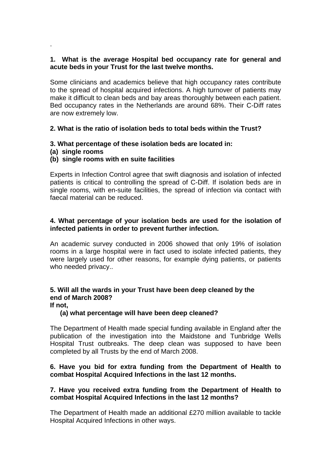### **1. What is the average Hospital bed occupancy rate for general and acute beds in your Trust for the last twelve months.**

Some clinicians and academics believe that high occupancy rates contribute to the spread of hospital acquired infections. A high turnover of patients may make it difficult to clean beds and bay areas thoroughly between each patient. Bed occupancy rates in the Netherlands are around 68%. Their C-Diff rates are now extremely low.

### **2. What is the ratio of isolation beds to total beds within the Trust?**

# **3. What percentage of these isolation beds are located in:**

**(a) single rooms** 

.

# **(b) single rooms with en suite facilities**

Experts in Infection Control agree that swift diagnosis and isolation of infected patients is critical to controlling the spread of C-Diff. If isolation beds are in single rooms, with en-suite facilities, the spread of infection via contact with faecal material can be reduced.

# **4. What percentage of your isolation beds are used for the isolation of infected patients in order to prevent further infection.**

An academic survey conducted in 2006 showed that only 19% of isolation rooms in a large hospital were in fact used to isolate infected patients, they were largely used for other reasons, for example dying patients, or patients who needed privacy..

# **5. Will all the wards in your Trust have been deep cleaned by the end of March 2008?**

**If not,** 

### **(a) what percentage will have been deep cleaned?**

The Department of Health made special funding available in England after the publication of the investigation into the Maidstone and Tunbridge Wells Hospital Trust outbreaks. The deep clean was supposed to have been completed by all Trusts by the end of March 2008.

### **6. Have you bid for extra funding from the Department of Health to combat Hospital Acquired Infections in the last 12 months.**

### **7. Have you received extra funding from the Department of Health to combat Hospital Acquired Infections in the last 12 months?**

The Department of Health made an additional £270 million available to tackle Hospital Acquired Infections in other ways.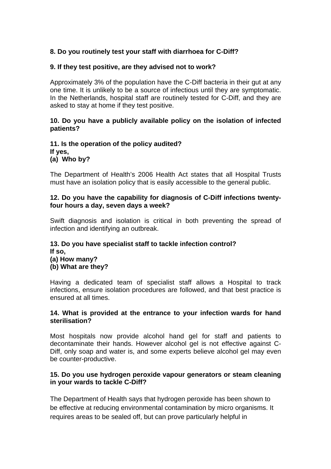# **8. Do you routinely test your staff with diarrhoea for C-Diff?**

#### **9. If they test positive, are they advised not to work?**

Approximately 3% of the population have the C-Diff bacteria in their gut at any one time. It is unlikely to be a source of infectious until they are symptomatic. In the Netherlands, hospital staff are routinely tested for C-Diff, and they are asked to stay at home if they test positive.

#### **10. Do you have a publicly available policy on the isolation of infected patients?**

#### **11. Is the operation of the policy audited? If yes, (a) Who by?**

The Department of Health's 2006 Health Act states that all Hospital Trusts must have an isolation policy that is easily accessible to the general public.

#### **12. Do you have the capability for diagnosis of C-Diff infections twentyfour hours a day, seven days a week?**

Swift diagnosis and isolation is critical in both preventing the spread of infection and identifying an outbreak.

# **13. Do you have specialist staff to tackle infection control? If so, (a) How many? (b) What are they?**

Having a dedicated team of specialist staff allows a Hospital to track infections, ensure isolation procedures are followed, and that best practice is ensured at all times.

#### **14. What is provided at the entrance to your infection wards for hand sterilisation?**

Most hospitals now provide alcohol hand gel for staff and patients to decontaminate their hands. However alcohol gel is not effective against C-Diff, only soap and water is, and some experts believe alcohol gel may even be counter-productive.

### **15. Do you use hydrogen peroxide vapour generators or steam cleaning in your wards to tackle C-Diff?**

The Department of Health says that hydrogen peroxide has been shown to be effective at reducing environmental contamination by micro organisms. It requires areas to be sealed off, but can prove particularly helpful in